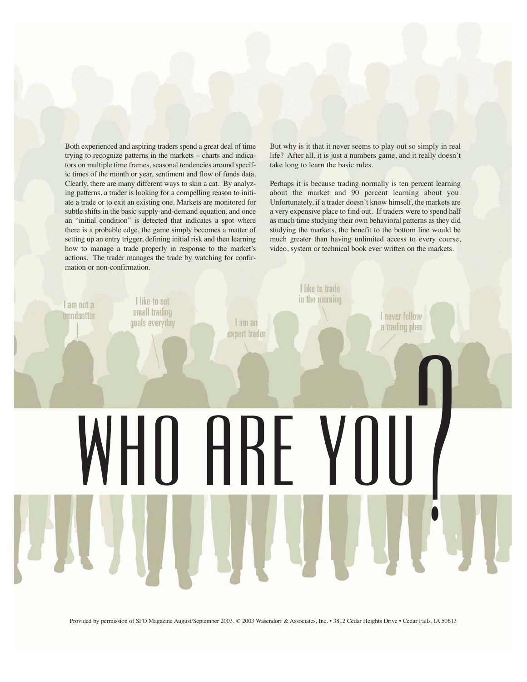Both experienced and aspiring traders spend a great deal of time trying to recognize patterns in the markets – charts and indicators on multiple time frames, seasonal tendencies around specific times of the month or year, sentiment and flow of funds data. Clearly, there are many different ways to skin a cat. By analyzing patterns, a trader is looking for a compelling reason to initiate a trade or to exit an existing one. Markets are monitored for subtle shifts in the basic supply-and-demand equation, and once an "initial condition" is detected that indicates a spot where there is a probable edge, the game simply becomes a matter of setting up an entry trigger, defining initial risk and then learning how to manage a trade properly in response to the market's actions. The trader manages the trade by watching for confirmation or non-confirmation.

But why is it that it never seems to play out so simply in real life? After all, it is just a numbers game, and it really doesn't take long to learn the basic rules.

Perhaps it is because trading normally is ten percent learning about the market and 90 percent learning about you. Unfortunately, if a trader doesn't know himself, the markets are a very expensive place to find out. If traders were to spend half as much time studying their own behavioral patterns as they did studying the markets, the benefit to the bottom line would be much greater than having unlimited access to every course, video, system or technical book ever written on the markets.

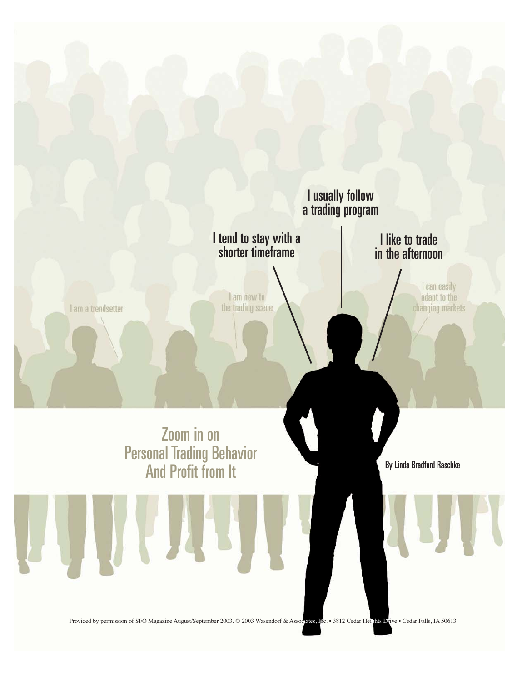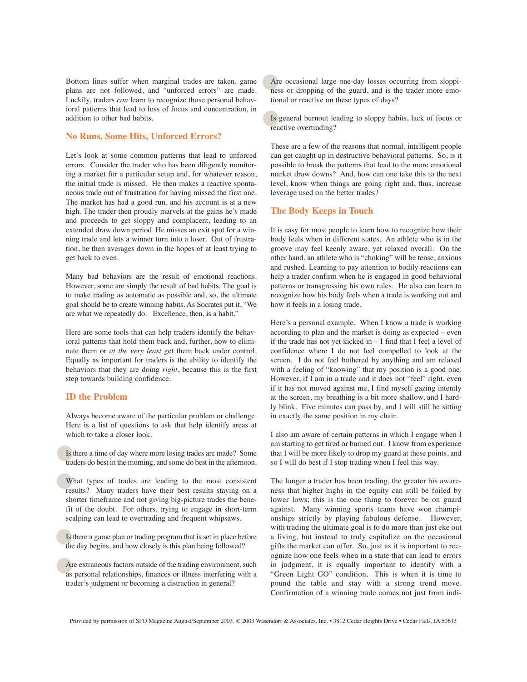Bottom lines suffer when marginal trades are taken, game plans are not followed, and "unforced errors" are made. Luckily, traders *can* learn to recognize those personal behavioral patterns that lead to loss of focus and concentration, in addition to other bad habits.

### **No Runs, Some Hits, Unforced Errors?**

Let's look at some common patterns that lead to unforced errors. Consider the trader who has been diligently monitoring a market for a particular setup and, for whatever reason, the initial trade is missed. He then makes a reactive spontaneous trade out of frustration for having missed the first one. The market has had a good run, and his account is at a new high. The trader then proudly marvels at the gains he's made and proceeds to get sloppy and complacent, leading to an extended draw down period. He misses an exit spot for a winning trade and lets a winner turn into a loser. Out of frustration, he then averages down in the hopes of at least trying to get back to even.

Many bad behaviors are the result of emotional reactions. However, some are simply the result of bad habits. The goal is to make trading as automatic as possible and, so, the ultimate goal should be to create winning habits. As Socrates put it, "We are what we repeatedly do. Excellence, then, is a habit."

Here are some tools that can help traders identify the behavioral patterns that hold them back and, further, how to eliminate them or *at the very least* get them back under control. Equally as important for traders is the ability to identify the behaviors that they are doing *right*, because this is the first step towards building confidence.

#### **ID the Problem**

Always become aware of the particular problem or challenge. Here is a list of questions to ask that help identify areas at which to take a closer look.

Is there a time of day where more losing trades are made? Some traders do best in the morning, and some do best in the afternoon.

What types of trades are leading to the most consistent results? Many traders have their best results staying on a shorter timeframe and not giving big-picture trades the benefit of the doubt. For others, trying to engage in short-term scalping can lead to overtrading and frequent whipsaws.

Is there a game plan or trading program that is set in place before the day begins, and how closely is this plan being followed?

Are extraneous factors outside of the trading environment, such as personal relationships, finances or illness interfering with a trader's judgment or becoming a distraction in general?

Are occasional large one-day losses occurring from sloppiness or dropping of the guard, and is the trader more emotional or reactive on these types of days?

Is general burnout leading to sloppy habits, lack of focus or reactive overtrading?

These are a few of the reasons that normal, intelligent people can get caught up in destructive behavioral patterns. So, is it possible to break the patterns that lead to the more emotional market draw downs? And, how can one take this to the next level, know when things are going right and, thus, increase leverage used on the better trades?

### **The Body Keeps in Touch**

It is easy for most people to learn how to recognize how their body feels when in different states. An athlete who is in the groove may feel keenly aware, yet relaxed overall. On the other hand, an athlete who is "choking" will be tense, anxious and rushed. Learning to pay attention to bodily reactions can help a trader confirm when he is engaged in good behavioral patterns or transgressing his own rules. He also can learn to recognize how his body feels when a trade is working out and how it feels in a losing trade.

Here's a personal example. When I know a trade is working according to plan and the market is doing as expected – even if the trade has not yet kicked in – I find that I feel a level of confidence where I do not feel compelled to look at the screen. I do not feel bothered by anything and am relaxed with a feeling of "knowing" that my position is a good one. However, if I am in a trade and it does not "feel" right, even if it has not moved against me, I find myself gazing intently at the screen, my breathing is a bit more shallow, and I hardly blink. Five minutes can pass by, and I will still be sitting in exactly the same position in my chair.

I also am aware of certain patterns in which I engage when I am starting to get tired or burned out. I know from experience that I will be more likely to drop my guard at these points, and so I will do best if I stop trading when I feel this way.

The longer a trader has been trading, the greater his awareness that higher highs in the equity can still be foiled by lower lows; this is the one thing to forever be on guard against. Many winning sports teams have won championships strictly by playing fabulous defense. However, with trading the ultimate goal is to do more than just eke out a living, but instead to truly capitalize on the occasional gifts the market can offer. So, just as it is important to recognize how one feels when in a state that can lead to errors in judgment, it is equally important to identify with a "Green Light GO" condition. This is when it is time to pound the table and stay with a strong trend move. Confirmation of a winning trade comes not just from indi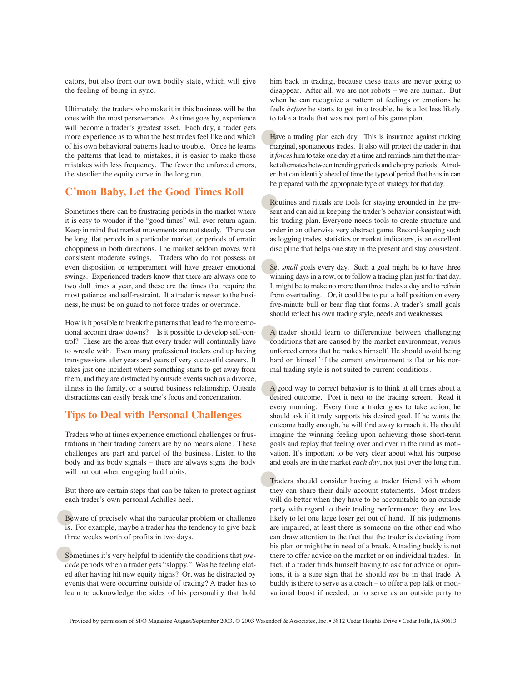cators, but also from our own bodily state, which will give the feeling of being in sync.

Ultimately, the traders who make it in this business will be the ones with the most perseverance. As time goes by, experience will become a trader's greatest asset. Each day, a trader gets more experience as to what the best trades feel like and which of his own behavioral patterns lead to trouble. Once he learns the patterns that lead to mistakes, it is easier to make those mistakes with less frequency. The fewer the unforced errors, the steadier the equity curve in the long run.

# **C'mon Baby, Let the Good Times Roll**

Sometimes there can be frustrating periods in the market where it is easy to wonder if the "good times" will ever return again. Keep in mind that market movements are not steady. There can be long, flat periods in a particular market, or periods of erratic choppiness in both directions. The market seldom moves with consistent moderate swings. Traders who do not possess an even disposition or temperament will have greater emotional swings. Experienced traders know that there are always one to two dull times a year, and these are the times that require the most patience and self-restraint. If a trader is newer to the business, he must be on guard to not force trades or overtrade.

How is it possible to break the patterns that lead to the more emotional account draw downs? Is it possible to develop self-control? These are the areas that every trader will continually have to wrestle with. Even many professional traders end up having transgressions after years and years of very successful careers. It takes just one incident where something starts to get away from them, and they are distracted by outside events such as a divorce, illness in the family, or a soured business relationship. Outside distractions can easily break one's focus and concentration.

## **Tips to Deal with Personal Challenges**

Traders who at times experience emotional challenges or frustrations in their trading careers are by no means alone. These challenges are part and parcel of the business. Listen to the body and its body signals – there are always signs the body will put out when engaging bad habits.

But there are certain steps that can be taken to protect against each trader's own personal Achilles heel.

Beware of precisely what the particular problem or challenge is. For example, maybe a trader has the tendency to give back three weeks worth of profits in two days.

Sometimes it's very helpful to identify the conditions that *precede* periods when a trader gets "sloppy." Was he feeling elated after having hit new equity highs? Or, was he distracted by events that were occurring outside of trading? A trader has to learn to acknowledge the sides of his personality that hold

him back in trading, because these traits are never going to disappear. After all, we are not robots – we are human. But when he can recognize a pattern of feelings or emotions he feels *before* he starts to get into trouble, he is a lot less likely to take a trade that was not part of his game plan.

Have a trading plan each day. This is insurance against making marginal, spontaneous trades. It also will protect the trader in that it *forces* him to take one day at a time and reminds him that the market alternates between trending periods and choppy periods. Atrader that can identify ahead of time the type of period that he is in can be prepared with the appropriate type of strategy for that day.

Routines and rituals are tools for staying grounded in the present and can aid in keeping the trader's behavior consistent with his trading plan. Everyone needs tools to create structure and order in an otherwise very abstract game. Record-keeping such as logging trades, statistics or market indicators, is an excellent discipline that helps one stay in the present and stay consistent.

Set *small* goals every day. Such a goal might be to have three winning days in a row, or to follow a trading plan just for that day. It might be to make no more than three trades a day and to refrain from overtrading. Or, it could be to put a half position on every five-minute bull or bear flag that forms. A trader's small goals should reflect his own trading style, needs and weaknesses.

A trader should learn to differentiate between challenging conditions that are caused by the market environment, versus unforced errors that he makes himself. He should avoid being hard on himself if the current environment is flat or his normal trading style is not suited to current conditions.

A good way to correct behavior is to think at all times about a desired outcome. Post it next to the trading screen. Read it every morning. Every time a trader goes to take action, he should ask if it truly supports his desired goal. If he wants the outcome badly enough, he will find away to reach it. He should imagine the winning feeling upon achieving those short-term goals and replay that feeling over and over in the mind as motivation. It's important to be very clear about what his purpose and goals are in the market *each day*, not just over the long run.

Traders should consider having a trader friend with whom they can share their daily account statements. Most traders will do better when they have to be accountable to an outside party with regard to their trading performance; they are less likely to let one large loser get out of hand. If his judgments are impaired, at least there is someone on the other end who can draw attention to the fact that the trader is deviating from his plan or might be in need of a break. A trading buddy is not there to offer advice on the market or on individual trades. In fact, if a trader finds himself having to ask for advice or opinions, it is a sure sign that he should *not* be in that trade. A buddy is there to serve as a coach – to offer a pep talk or motivational boost if needed, or to serve as an outside party to